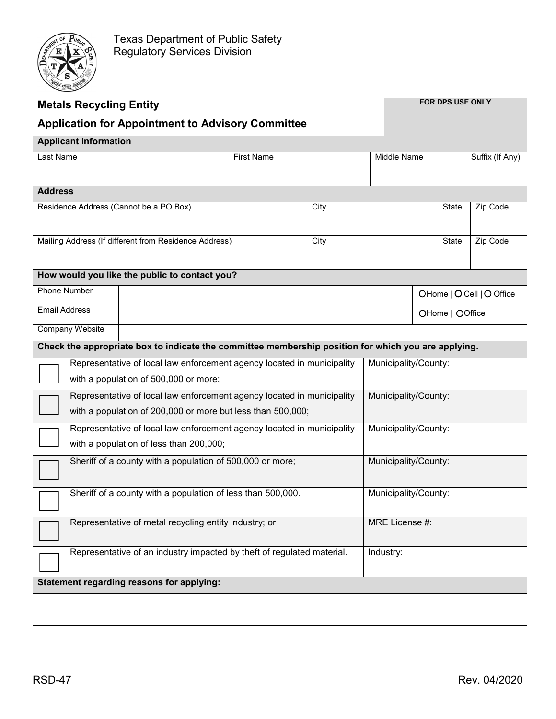

| <b>Metals Recycling Entity</b>                                                                      |                                                                                                                 |  |                   |      | <b>FOR DPS USE ONLY</b> |                           |                 |                 |  |
|-----------------------------------------------------------------------------------------------------|-----------------------------------------------------------------------------------------------------------------|--|-------------------|------|-------------------------|---------------------------|-----------------|-----------------|--|
| <b>Application for Appointment to Advisory Committee</b>                                            |                                                                                                                 |  |                   |      |                         |                           |                 |                 |  |
| <b>Applicant Information</b>                                                                        |                                                                                                                 |  |                   |      |                         |                           |                 |                 |  |
| Last Name                                                                                           |                                                                                                                 |  | <b>First Name</b> |      | Middle Name             |                           |                 | Suffix (If Any) |  |
|                                                                                                     |                                                                                                                 |  |                   |      |                         |                           |                 |                 |  |
| <b>Address</b>                                                                                      |                                                                                                                 |  |                   |      |                         |                           |                 |                 |  |
| Residence Address (Cannot be a PO Box)                                                              |                                                                                                                 |  | City              |      |                         |                           | State           | Zip Code        |  |
| Mailing Address (If different from Residence Address)                                               |                                                                                                                 |  |                   | City |                         |                           | State           | Zip Code        |  |
| How would you like the public to contact you?                                                       |                                                                                                                 |  |                   |      |                         |                           |                 |                 |  |
| <b>Phone Number</b>                                                                                 |                                                                                                                 |  |                   |      |                         | OHome   O Cell   O Office |                 |                 |  |
| <b>Email Address</b>                                                                                |                                                                                                                 |  |                   |      |                         |                           | OHome   OOffice |                 |  |
| <b>Company Website</b>                                                                              |                                                                                                                 |  |                   |      |                         |                           |                 |                 |  |
| Check the appropriate box to indicate the committee membership position for which you are applying. |                                                                                                                 |  |                   |      |                         |                           |                 |                 |  |
|                                                                                                     | Representative of local law enforcement agency located in municipality<br>with a population of 500,000 or more; |  |                   |      | Municipality/County:    |                           |                 |                 |  |
|                                                                                                     | Representative of local law enforcement agency located in municipality                                          |  |                   |      | Municipality/County:    |                           |                 |                 |  |
|                                                                                                     | with a population of 200,000 or more but less than 500,000;                                                     |  |                   |      |                         |                           |                 |                 |  |
|                                                                                                     | Representative of local law enforcement agency located in municipality                                          |  |                   |      | Municipality/County:    |                           |                 |                 |  |
|                                                                                                     | with a population of less than 200,000;                                                                         |  |                   |      |                         |                           |                 |                 |  |
|                                                                                                     | Sheriff of a county with a population of 500,000 or more;                                                       |  |                   |      | Municipality/County:    |                           |                 |                 |  |
|                                                                                                     | Sheriff of a county with a population of less than 500,000.                                                     |  |                   |      | Municipality/County:    |                           |                 |                 |  |
|                                                                                                     | Representative of metal recycling entity industry; or                                                           |  |                   |      | MRE License #:          |                           |                 |                 |  |
| Representative of an industry impacted by theft of regulated material.                              |                                                                                                                 |  |                   |      | Industry:               |                           |                 |                 |  |
| <b>Statement regarding reasons for applying:</b>                                                    |                                                                                                                 |  |                   |      |                         |                           |                 |                 |  |
|                                                                                                     |                                                                                                                 |  |                   |      |                         |                           |                 |                 |  |